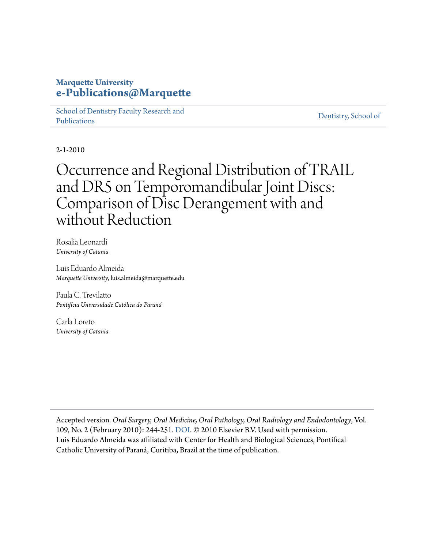## **Marquette University [e-Publications@Marquette](https://epublications.marquette.edu)**

[School of Dentistry Faculty Research and](https://epublications.marquette.edu/dentistry_fac) [Publications](https://epublications.marquette.edu/dentistry_fac)

[Dentistry, School of](https://epublications.marquette.edu/dentistry)

2-1-2010

# Occurrence and Regional Distribution of TRAIL and DR5 on Temporomandibular Joint Discs: Comparison of Disc Derangement with and without Reduction

Rosalia Leonardi *University of Catania*

Luis Eduardo Almeida *Marquette University*, luis.almeida@marquette.edu

Paula C. Trevilatto *Pontifícia Universidade Católica do Paraná*

Carla Loreto *University of Catania*

Accepted version*. Oral Surgery, Oral Medicine, Oral Pathology, Oral Radiology and Endodontology*, Vol. 109, No. 2 (February 2010): 244-251. [DOI](https://doi.org/10.1016/j.tripleo.2009.09.028). © 2010 Elsevier B.V. Used with permission. Luis Eduardo Almeida was affiliated with Center for Health and Biological Sciences, Pontifical Catholic University of Paraná, Curitiba, Brazil at the time of publication.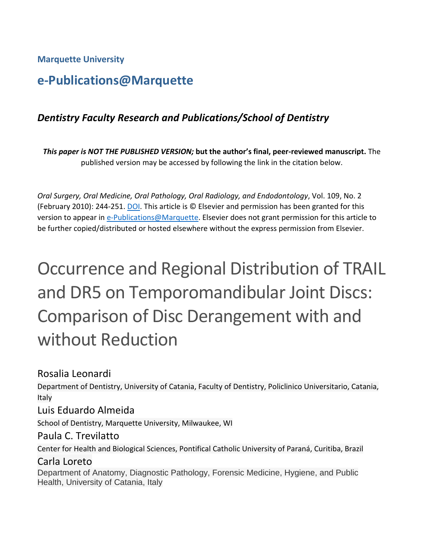**Marquette University**

# **e-Publications@Marquette**

# *Dentistry Faculty Research and Publications/School of Dentistry*

*This paper is NOT THE PUBLISHED VERSION;* **but the author's final, peer-reviewed manuscript.** The published version may be accessed by following the link in the citation below.

*Oral Surgery, Oral Medicine, Oral Pathology, Oral Radiology, and Endodontology*, Vol. 109, No. 2 (February 2010): 244-251. [DOI.](https://doi.org/10.1016/j.tripleo.2009.09.028) This article is © Elsevier and permission has been granted for this version to appear in [e-Publications@Marquette.](http://epublications.marquette.edu/) Elsevier does not grant permission for this article to be further copied/distributed or hosted elsewhere without the express permission from Elsevier.

# Occurrence and Regional Distribution of TRAIL and DR5 on Temporomandibular Joint Discs: Comparison of Disc Derangement with and without Reduction

Rosalia [Leonardi](https://www.sciencedirect.com/science/article/pii/S1079210409007458?via%3Dihub#!)

Department of Dentistry, University of Catania, Faculty of Dentistry, Policlinico Universitario, Catania, Italy

#### [Luis Eduardo](https://www.sciencedirect.com/science/article/pii/S1079210409007458?via%3Dihub#!) Almeida

School of Dentistry, Marquette University, Milwaukee, WI

#### Paula C. [Trevilatto](https://www.sciencedirect.com/science/article/pii/S1079210409007458?via%3Dihub#!)

Center for Health and Biological Sciences, Pontifical Catholic University of Paraná, Curitiba, Brazil

## Carla Loreto

Department of Anatomy, Diagnostic Pathology, Forensic Medicine, Hygiene, and Public Health, University of Catania, Italy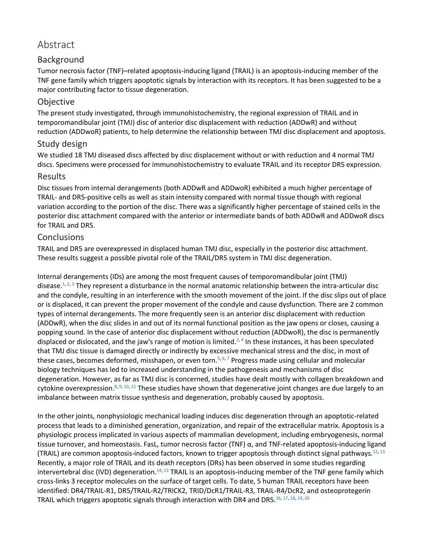# Abstract

#### Background

Tumor necrosis factor (TNF)–related apoptosis-inducing ligand (TRAIL) is an apoptosis-inducing member of the TNF gene family which triggers apoptotic signals by interaction with its receptors. It has been suggested to be a major contributing factor to tissue degeneration.

#### **Objective**

The present study investigated, through immunohistochemistry, the regional expression of TRAIL and in temporomandibular joint (TMJ) disc of anterior disc displacement with reduction (ADDwR) and without reduction (ADDwoR) patients, to help determine the relationship between TMJ disc displacement and apoptosis.

#### Study design

We studied 18 TMJ diseased discs affected by disc displacement without or with reduction and 4 normal TMJ discs. Specimens were processed for immunohistochemistry to evaluate TRAIL and its receptor DR5 expression.

#### Results

Disc tissues from internal derangements (both ADDwR and ADDwoR) exhibited a much higher percentage of TRAIL- and DR5-positive cells as well as stain intensity compared with normal tissue though with regional variation according to the portion of the disc. There was a significantly higher percentage of stained cells in the posterior disc attachment compared with the anterior or intermediate bands of both ADDwR and ADDwoR discs for TRAIL and DR5.

#### **Conclusions**

TRAIL and DR5 are overexpressed in displaced human TMJ disc, especially in the posterior disc attachment. These results suggest a possible pivotal role of the TRAIL/DR5 system in TMJ disc degeneration.

Internal derangements (IDs) are among the most frequent causes of temporomandibular joint (TMJ) disease.<sup>1, [2,](https://www.sciencedirect.com/science/article/pii/S1079210409007458?via%3Dihub#bib2) [3](https://www.sciencedirect.com/science/article/pii/S1079210409007458?via%3Dihub#bib3)</sup> They represent a disturbance in the normal anatomic relationship between the intra-articular disc and the condyle, resulting in an interference with the smooth movement of the joint. If the disc slips out of place or is displaced, it can prevent the proper movement of the condyle and cause dysfunction. There are 2 common types of internal derangements. The more frequently seen is an anterior disc displacement with reduction (ADDwR), when the disc slides in and out of its normal functional position as the jaw opens or closes, causing a popping sound. In the case of anterior disc displacement without reduction (ADDwoR), the disc is permanently displaced or dislocated, and the jaw's range of motion is limited.<sup>2,[4](https://www.sciencedirect.com/science/article/pii/S1079210409007458?via%3Dihub#bib4)</sup> In these instances, it has been speculated that TMJ disc tissue is damaged directly or indirectly by excessive mechanical stress and the disc, in most of these cases, becomes deformed, misshapen, or even torn.<sup>5, [6,](https://www.sciencedirect.com/science/article/pii/S1079210409007458?via%3Dihub#bib6) [7](https://www.sciencedirect.com/science/article/pii/S1079210409007458?via%3Dihub#bib7)</sup> Progress made using cellular and molecular biology techniques has led to increased understanding in the pathogenesis and mechanisms of disc degeneration. However, as far as TMJ disc is concerned, studies have dealt mostly with collagen breakdown and cytokine overexpression.<sup>8, [9,](https://www.sciencedirect.com/science/article/pii/S1079210409007458?via%3Dihub#bib9) [10,](https://www.sciencedirect.com/science/article/pii/S1079210409007458?via%3Dihub#bib10) [11](https://www.sciencedirect.com/science/article/pii/S1079210409007458?via%3Dihub#bib11)</sup> These studies have shown that degenerative joint changes are due largely to an imbalance between matrix tissue synthesis and degeneration, probably caused by apoptosis.

In the other joints, nonphysiologic mechanical loading induces disc degeneration through an apoptotic-related process that leads to a diminished generation, organization, and repair of the extracellular matrix. Apoptosis is a physiologic process implicated in various aspects of mammalian development, including embryogenesis, normal tissue turnover, and homeostasis. FasL, tumor necrosis factor (TNF) α, and TNF-related apoptosis-inducing ligand (TRAIL) are common apoptosis-induced factors, known to trigger apoptosis through distinct signal pathways.<sup>12, [13](https://www.sciencedirect.com/science/article/pii/S1079210409007458?via%3Dihub#bib13)</sup> Recently, a major role of TRAIL and its death receptors (DRs) has been observed in some studies regarding intervertebral disc (IVD) degeneration.<sup>14, [15](https://www.sciencedirect.com/science/article/pii/S1079210409007458?via%3Dihub#bib15)</sup> TRAIL is an apoptosis-inducing member of the TNF gene family which cross-links 3 receptor molecules on the surface of target cells. To date, 5 human TRAIL receptors have been identified: DR4/TRAIL-R1, DR5/TRAIL-R2/TRICK2, TRID/DcR1/TRAIL-R3, TRAIL-R4/DcR2, and osteoprotegerin TRAIL which triggers apoptotic signals through interaction with DR4 and DR5.<sup>16, [17,](https://www.sciencedirect.com/science/article/pii/S1079210409007458?via%3Dihub#bib17) [18,](https://www.sciencedirect.com/science/article/pii/S1079210409007458?via%3Dihub#bib18) [19,](https://www.sciencedirect.com/science/article/pii/S1079210409007458?via%3Dihub#bib19) [20](https://www.sciencedirect.com/science/article/pii/S1079210409007458?via%3Dihub#bib20)</sup>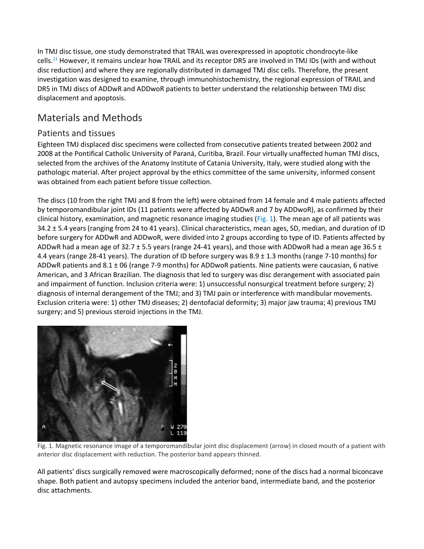In TMJ disc tissue, one study demonstrated that TRAIL was overexpressed in apoptotic chondrocyte-like cells.<sup>21</sup> However, it remains unclear how TRAIL and its receptor DR5 are involved in TMJ IDs (with and without disc reduction) and where they are regionally distributed in damaged TMJ disc cells. Therefore, the present investigation was designed to examine, through immunohistochemistry, the regional expression of TRAIL and DR5 in TMJ discs of ADDwR and ADDwoR patients to better understand the relationship between TMJ disc displacement and apoptosis.

# Materials and Methods

#### Patients and tissues

Eighteen TMJ displaced disc specimens were collected from consecutive patients treated between 2002 and 2008 at the Pontifical Catholic University of Paraná, Curitiba, Brazil. Four virtually unaffected human TMJ discs, selected from the archives of the Anatomy Institute of Catania University, Italy, were studied along with the pathologic material. After project approval by the ethics committee of the same university, informed consent was obtained from each patient before tissue collection.

The discs (10 from the right TMJ and 8 from the left) were obtained from 14 female and 4 male patients affected by temporomandibular joint IDs (11 patients were affected by ADDwR and 7 by ADDwoR), as confirmed by their clinical history, examination, and magnetic resonance imaging studies [\(Fig. 1\)](https://www.sciencedirect.com/science/article/pii/S1079210409007458?via%3Dihub#fig1). The mean age of all patients was 34.2 ± 5.4 years (ranging from 24 to 41 years). Clinical characteristics, mean ages, SD, median, and duration of ID before surgery for ADDwR and ADDwoR, were divided into 2 groups according to type of ID. Patients affected by ADDwR had a mean age of 32.7  $\pm$  5.5 years (range 24-41 years), and those with ADDwoR had a mean age 36.5  $\pm$ 4.4 years (range 28-41 years). The duration of ID before surgery was 8.9 ± 1.3 months (range 7-10 months) for ADDwR patients and 8.1 ± 06 (range 7-9 months) for ADDwoR patients. Nine patients were caucasian, 6 native American, and 3 African Brazilian. The diagnosis that led to surgery was disc derangement with associated pain and impairment of function. Inclusion criteria were: 1) unsuccessful nonsurgical treatment before surgery; 2) diagnosis of internal derangement of the TMJ; and 3) TMJ pain or interference with mandibular movements. Exclusion criteria were: 1) other TMJ diseases; 2) dentofacial deformity; 3) major jaw trauma; 4) previous TMJ surgery; and 5) previous steroid injections in the TMJ.



Fig. 1. Magnetic resonance image of a temporomandibular joint disc displacement (arrow) in closed mouth of a patient with anterior disc displacement with reduction. The posterior band appears thinned.

All patients' discs surgically removed were macroscopically deformed; none of the discs had a normal biconcave shape. Both patient and autopsy specimens included the anterior band, intermediate band, and the posterior disc attachments.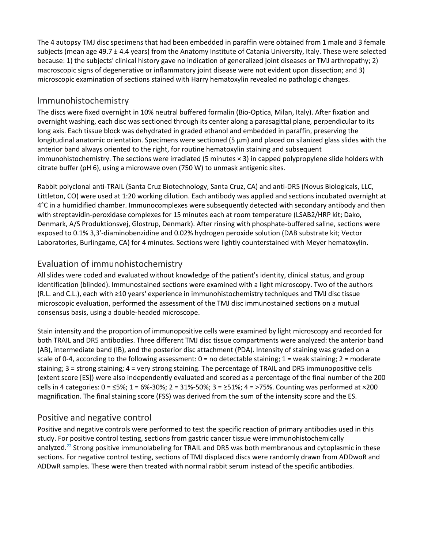The 4 autopsy TMJ disc specimens that had been embedded in paraffin were obtained from 1 male and 3 female subjects (mean age 49.7 ± 4.4 years) from the Anatomy Institute of Catania University, Italy. These were selected because: 1) the subjects' clinical history gave no indication of generalized joint diseases or TMJ arthropathy; 2) macroscopic signs of degenerative or inflammatory joint disease were not evident upon dissection; and 3) microscopic examination of sections stained with Harry hematoxylin revealed no pathologic changes.

#### Immunohistochemistry

The discs were fixed overnight in 10% neutral buffered formalin (Bio-Optica, Milan, Italy). After fixation and overnight washing, each disc was sectioned through its center along a parasagittal plane, perpendicular to its long axis. Each tissue block was dehydrated in graded ethanol and embedded in paraffin, preserving the longitudinal anatomic orientation. Specimens were sectioned  $(5 \mu m)$  and placed on silanized glass slides with the anterior band always oriented to the right, for routine hematoxylin staining and subsequent immunohistochemistry. The sections were irradiated (5 minutes × 3) in capped polypropylene slide holders with citrate buffer (pH 6), using a microwave oven (750 W) to unmask antigenic sites.

Rabbit polyclonal anti-TRAIL (Santa Cruz Biotechnology, Santa Cruz, CA) and anti-DR5 (Novus Biologicals, LLC, Littleton, CO) were used at 1:20 working dilution. Each antibody was applied and sections incubated overnight at 4°C in a humidified chamber. Immunocomplexes were subsequently detected with secondary antibody and then with streptavidin-peroxidase complexes for 15 minutes each at room temperature (LSAB2/HRP kit; Dako, Denmark, A/S Produktionsvej, Glostrup, Denmark). After rinsing with phosphate-buffered saline, sections were exposed to 0.1% 3,3′-diaminobenzidine and 0.02% hydrogen peroxide solution (DAB substrate kit; Vector Laboratories, Burlingame, CA) for 4 minutes. Sections were lightly counterstained with Meyer hematoxylin.

#### Evaluation of immunohistochemistry

All slides were coded and evaluated without knowledge of the patient's identity, clinical status, and group identification (blinded). Immunostained sections were examined with a light microscopy. Two of the authors (R.L. and C.L.), each with ≥10 years' experience in immunohistochemistry techniques and TMJ disc tissue microscopic evaluation, performed the assessment of the TMJ disc immunostained sections on a mutual consensus basis, using a double-headed microscope.

Stain intensity and the proportion of immunopositive cells were examined by light microscopy and recorded for both TRAIL and DR5 antibodies. Three different TMJ disc tissue compartments were analyzed: the anterior band (AB), intermediate band (IB), and the posterior disc attachment (PDA). Intensity of staining was graded on a scale of 0-4, according to the following assessment:  $0 =$  no detectable staining;  $1 =$  weak staining;  $2 =$  moderate staining; 3 = strong staining; 4 = very strong staining. The percentage of TRAIL and DR5 immunopositive cells (extent score [ES]) were also independently evaluated and scored as a percentage of the final number of the 200 cells in 4 categories:  $0 = 5\%$ ;  $1 = 6\% - 30\%$ ;  $2 = 31\% - 50\%$ ;  $3 = 251\%$ ;  $4 = 275\%$ . Counting was performed at  $\times 200$ magnification. The final staining score (FSS) was derived from the sum of the intensity score and the ES.

#### Positive and negative control

Positive and negative controls were performed to test the specific reaction of primary antibodies used in this study. For positive control testing, sections from gastric cancer tissue were immunohistochemically analyzed.<sup>22</sup> Strong positive immunolabeling for TRAIL and DR5 was both membranous and cytoplasmic in these sections. For negative control testing, sections of TMJ displaced discs were randomly drawn from ADDwoR and ADDwR samples. These were then treated with normal rabbit serum instead of the specific antibodies.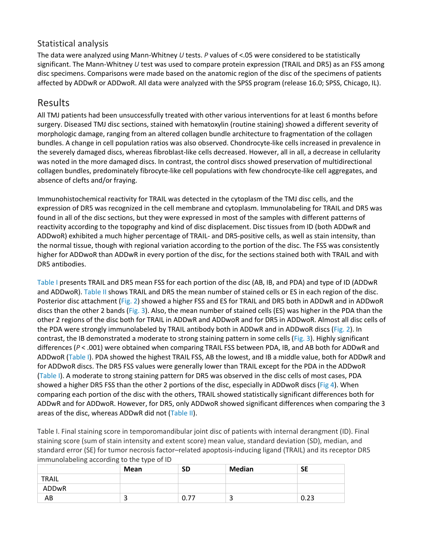#### Statistical analysis

The data were analyzed using Mann-Whitney *U* tests. *P* values of <.05 were considered to be statistically significant. The Mann-Whitney *U* test was used to compare protein expression (TRAIL and DR5) as an FSS among disc specimens. Comparisons were made based on the anatomic region of the disc of the specimens of patients affected by ADDwR or ADDwoR. All data were analyzed with the SPSS program (release 16.0; SPSS, Chicago, IL).

# Results

All TMJ patients had been unsuccessfully treated with other various interventions for at least 6 months before surgery. Diseased TMJ disc sections, stained with hematoxylin (routine staining) showed a different severity of morphologic damage, ranging from an altered collagen bundle architecture to fragmentation of the collagen bundles. A change in cell population ratios was also observed. Chondrocyte-like cells increased in prevalence in the severely damaged discs, whereas fibroblast-like cells decreased. However, all in all, a decrease in cellularity was noted in the more damaged discs. In contrast, the control discs showed preservation of multidirectional collagen bundles, predominately fibrocyte-like cell populations with few chondrocyte-like cell aggregates, and absence of clefts and/or fraying.

Immunohistochemical reactivity for TRAIL was detected in the cytoplasm of the TMJ disc cells, and the expression of DR5 was recognized in the cell membrane and cytoplasm. Immunolabeling for TRAIL and DR5 was found in all of the disc sections, but they were expressed in most of the samples with different patterns of reactivity according to the topography and kind of disc displacement. Disc tissues from ID (both ADDwR and ADDwoR) exhibited a much higher percentage of TRAIL- and DR5-positive cells, as well as stain intensity, than the normal tissue, though with regional variation according to the portion of the disc. The FSS was consistently higher for ADDwoR than ADDwR in every portion of the disc, for the sections stained both with TRAIL and with DR5 antibodies.

[Table I](https://www.sciencedirect.com/science/article/pii/S1079210409007458?via%3Dihub#tbl1) presents TRAIL and DR5 mean FSS for each portion of the disc (AB, IB, and PDA) and type of ID (ADDwR and ADDwoR). [Table II](https://www.sciencedirect.com/science/article/pii/S1079210409007458?via%3Dihub#tbl2) shows TRAIL and DR5 the mean number of stained cells or ES in each region of the disc. Posterior disc attachment [\(Fig. 2\)](https://www.sciencedirect.com/science/article/pii/S1079210409007458?via%3Dihub#fig2) showed a higher FSS and ES for TRAIL and DR5 both in ADDwR and in ADDwoR discs than the other 2 bands [\(Fig. 3\)](https://www.sciencedirect.com/science/article/pii/S1079210409007458?via%3Dihub#fig3). Also, the mean number of stained cells (ES) was higher in the PDA than the other 2 regions of the disc both for TRAIL in ADDwR and ADDwoR and for DR5 in ADDwoR. Almost all disc cells of the PDA were strongly immunolabeled by TRAIL antibody both in ADDwR and in ADDwoR discs [\(Fig. 2\)](https://www.sciencedirect.com/science/article/pii/S1079210409007458?via%3Dihub#fig2). In contrast, the IB demonstrated a moderate to strong staining pattern in some cells [\(Fig. 3\)](https://www.sciencedirect.com/science/article/pii/S1079210409007458?via%3Dihub#fig3). Highly significant differences (*P* < .001) were obtained when comparing TRAIL FSS between PDA, IB, and AB both for ADDwR and ADDwoR [\(Table I\)](https://www.sciencedirect.com/science/article/pii/S1079210409007458?via%3Dihub#tbl1). PDA showed the highest TRAIL FSS, AB the lowest, and IB a middle value, both for ADDwR and for ADDwoR discs. The DR5 FSS values were generally lower than TRAIL except for the PDA in the ADDwoR [\(Table I\)](https://www.sciencedirect.com/science/article/pii/S1079210409007458?via%3Dihub#tbl1). A moderate to strong staining pattern for DR5 was observed in the disc cells of most cases, PDA showed a higher DR5 FSS than the other 2 portions of the disc, especially in ADDwoR discs [\(Fig 4\)](https://www.sciencedirect.com/science/article/pii/S1079210409007458?via%3Dihub#fig4). When comparing each portion of the disc with the others, TRAIL showed statistically significant differences both for ADDwR and for ADDwoR. However, for DR5, only ADDwoR showed significant differences when comparing the 3 areas of the disc, whereas ADDwR did not [\(Table II\)](https://www.sciencedirect.com/science/article/pii/S1079210409007458?via%3Dihub#tbl2).

Table I. Final staining score in temporomandibular joint disc of patients with internal derangment (ID). Final staining score (sum of stain intensity and extent score) mean value, standard deviation (SD), median, and standard error (SE) for tumor necrosis factor–related apoptosis-inducing ligand (TRAIL) and its receptor DR5 immunolabeling according to the type of ID

| ັ<br>ັ       | .<br><b>Mean</b> | <b>SD</b> | Median | <b>SE</b> |
|--------------|------------------|-----------|--------|-----------|
| <b>TRAIL</b> |                  |           |        |           |
| ADDwR        |                  |           |        |           |
| AB           | ی                | 0.77      |        | 0.23      |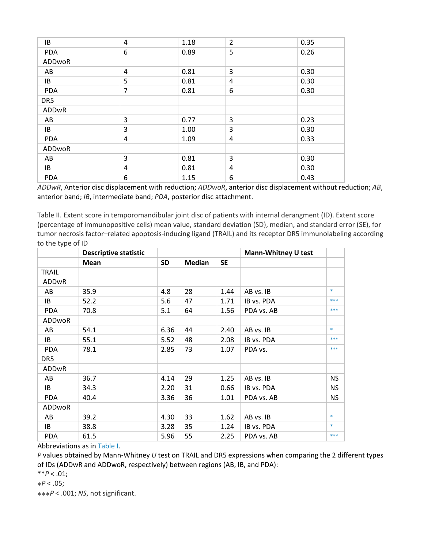| IB         | 4              | 1.18 | $\overline{2}$ | 0.35 |
|------------|----------------|------|----------------|------|
| <b>PDA</b> | 6              | 0.89 | 5              | 0.26 |
| ADDwoR     |                |      |                |      |
| AB         | 4              | 0.81 | 3              | 0.30 |
| IB         | 5              | 0.81 | 4              | 0.30 |
| <b>PDA</b> | $\overline{7}$ | 0.81 | 6              | 0.30 |
| DR5        |                |      |                |      |
| ADDwR      |                |      |                |      |
| AB         | 3              | 0.77 | 3              | 0.23 |
| IB         | 3              | 1.00 | 3              | 0.30 |
| <b>PDA</b> | 4              | 1.09 | 4              | 0.33 |
| ADDwoR     |                |      |                |      |
| AB         | 3              | 0.81 | 3              | 0.30 |
| IB         | 4              | 0.81 | 4              | 0.30 |
| <b>PDA</b> | 6              | 1.15 | 6              | 0.43 |

*ADDwR*, Anterior disc displacement with reduction; *ADDwoR*, anterior disc displacement without reduction; *AB*, anterior band; *IB*, intermediate band; *PDA*, posterior disc attachment.

Table II. Extent score in temporomandibular joint disc of patients with internal derangment (ID). Extent score (percentage of immunopositive cells) mean value, standard deviation (SD), median, and standard error (SE), for tumor necrosis factor–related apoptosis-inducing ligand (TRAIL) and its receptor DR5 immunolabeling according to the type of ID

|              | <b>Descriptive statistic</b> |           |               |           | <b>Mann-Whitney U test</b> |           |
|--------------|------------------------------|-----------|---------------|-----------|----------------------------|-----------|
|              | Mean                         | <b>SD</b> | <b>Median</b> | <b>SE</b> |                            |           |
| <b>TRAIL</b> |                              |           |               |           |                            |           |
| <b>ADDwR</b> |                              |           |               |           |                            |           |
| AB           | 35.9                         | 4.8       | 28            | 1.44      | AB vs. IB                  | $*$       |
| IB           | 52.2                         | 5.6       | 47            | 1.71      | IB vs. PDA                 | ***       |
| <b>PDA</b>   | 70.8                         | 5.1       | 64            | 1.56      | PDA vs. AB                 | $***$     |
| ADDwoR       |                              |           |               |           |                            |           |
| AB           | 54.1                         | 6.36      | 44            | 2.40      | AB vs. IB                  | $\ast$    |
| IB           | 55.1                         | 5.52      | 48            | 2.08      | IB vs. PDA                 | ***       |
| <b>PDA</b>   | 78.1                         | 2.85      | 73            | 1.07      | PDA vs.                    | $***$     |
| DR5          |                              |           |               |           |                            |           |
| <b>ADDwR</b> |                              |           |               |           |                            |           |
| AB           | 36.7                         | 4.14      | 29            | 1.25      | AB vs. IB                  | <b>NS</b> |
| IB           | 34.3                         | 2.20      | 31            | 0.66      | IB vs. PDA                 | <b>NS</b> |
| <b>PDA</b>   | 40.4                         | 3.36      | 36            | 1.01      | PDA vs. AB                 | <b>NS</b> |
| ADDwoR       |                              |           |               |           |                            |           |
| AB           | 39.2                         | 4.30      | 33            | 1.62      | AB vs. IB                  | $\ast$    |
| IB           | 38.8                         | 3.28      | 35            | 1.24      | IB vs. PDA                 | $\ast$    |
| <b>PDA</b>   | 61.5                         | 5.96      | 55            | 2.25      | PDA vs. AB                 | ***       |

Abbreviations as in [Table I.](https://www.sciencedirect.com/science/article/pii/S1079210409007458?via%3Dihub#tbl1)

*P* values obtained by Mann-Whitney *U* test on TRAIL and DR5 expressions when comparing the 2 different types of IDs (ADDwR and ADDwoR, respectively) between regions (AB, IB, and PDA):

\*\**P* < .01;

 $*P < .05;$ 

⁎⁎⁎*P* < .001; *NS*, not significant.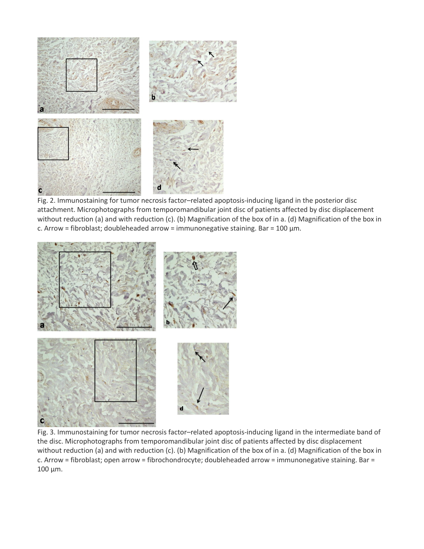

Fig. 2. Immunostaining for tumor necrosis factor–related apoptosis-inducing ligand in the posterior disc attachment. Microphotographs from temporomandibular joint disc of patients affected by disc displacement without reduction (a) and with reduction (c). (b) Magnification of the box of in a. (d) Magnification of the box in c. Arrow = fibroblast; doubleheaded arrow = immunonegative staining. Bar = 100 μm.



Fig. 3. Immunostaining for tumor necrosis factor–related apoptosis-inducing ligand in the intermediate band of the disc. Microphotographs from temporomandibular joint disc of patients affected by disc displacement without reduction (a) and with reduction (c). (b) Magnification of the box of in a. (d) Magnification of the box in c. Arrow = fibroblast; open arrow = fibrochondrocyte; doubleheaded arrow = immunonegative staining. Bar = 100 μm.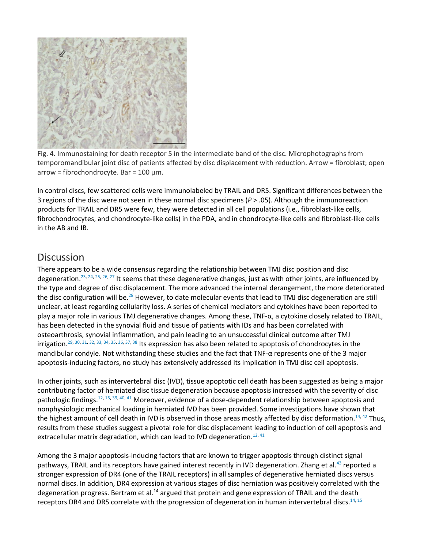

Fig. 4. Immunostaining for death receptor 5 in the intermediate band of the disc. Microphotographs from temporomandibular joint disc of patients affected by disc displacement with reduction. Arrow = fibroblast; open arrow = fibrochondrocyte. Bar = 100 μm.

In control discs, few scattered cells were immunolabeled by TRAIL and DR5. Significant differences between the 3 regions of the disc were not seen in these normal disc specimens (*P* > .05). Although the immunoreaction products for TRAIL and DR5 were few, they were detected in all cell populations (i.e., fibroblast-like cells, fibrochondrocytes, and chondrocyte-like cells) in the PDA, and in chondrocyte-like cells and fibroblast-like cells in the AB and IB.

# Discussion

There appears to be a wide consensus regarding the relationship between TMJ disc position and disc degeneration.<sup>23, [24,](https://www.sciencedirect.com/science/article/pii/S1079210409007458?via%3Dihub#bib24) [25,](https://www.sciencedirect.com/science/article/pii/S1079210409007458?via%3Dihub#bib25) [26,](https://www.sciencedirect.com/science/article/pii/S1079210409007458?via%3Dihub#bib26) [27](https://www.sciencedirect.com/science/article/pii/S1079210409007458?via%3Dihub#bib27)</sup> It seems that these degenerative changes, just as with other joints, are influenced by the type and degree of disc displacement. The more advanced the internal derangement, the more deteriorated the disc configuration will be.<sup>28</sup> However, to date molecular events that lead to TMJ disc degeneration are still unclear, at least regarding cellularity loss. A series of chemical mediators and cytokines have been reported to play a major role in various TMJ degenerative changes. Among these, TNF-α, a cytokine closely related to TRAIL, has been detected in the synovial fluid and tissue of patients with IDs and has been correlated with osteoarthrosis, synovial inflammation, and pain leading to an unsuccessful clinical outcome after TMJ irrigation.<sup>29, [30,](https://www.sciencedirect.com/science/article/pii/S1079210409007458?via%3Dihub#bib30) [31,](https://www.sciencedirect.com/science/article/pii/S1079210409007458?via%3Dihub#bib31) [32,](https://www.sciencedirect.com/science/article/pii/S1079210409007458?via%3Dihub#bib32) [33,](https://www.sciencedirect.com/science/article/pii/S1079210409007458?via%3Dihub#bib33) [34,](https://www.sciencedirect.com/science/article/pii/S1079210409007458?via%3Dihub#bib34) [35,](https://www.sciencedirect.com/science/article/pii/S1079210409007458?via%3Dihub#bib35) [36,](https://www.sciencedirect.com/science/article/pii/S1079210409007458?via%3Dihub#bib36) [37,](https://www.sciencedirect.com/science/article/pii/S1079210409007458?via%3Dihub#bib37) [38](https://www.sciencedirect.com/science/article/pii/S1079210409007458?via%3Dihub#bib38)</sup> Its expression has also been related to apoptosis of chondrocytes in the mandibular condyle. Not withstanding these studies and the fact that TNF-α represents one of the 3 major apoptosis-inducing factors, no study has extensively addressed its implication in TMJ disc cell apoptosis.

In other joints, such as intervertebral disc (IVD), tissue apoptotic cell death has been suggested as being a major contributing factor of herniated disc tissue degeneration because apoptosis increased with the severity of disc pathologic findings.<sup>12, [15,](https://www.sciencedirect.com/science/article/pii/S1079210409007458?via%3Dihub#bib15) [39,](https://www.sciencedirect.com/science/article/pii/S1079210409007458?via%3Dihub#bib39) [40,](https://www.sciencedirect.com/science/article/pii/S1079210409007458?via%3Dihub#bib40) [41](https://www.sciencedirect.com/science/article/pii/S1079210409007458?via%3Dihub#bib41)</sup> Moreover, evidence of a dose-dependent relationship between apoptosis and nonphysiologic mechanical loading in herniated IVD has been provided. Some investigations have shown that the highest amount of cell death in IVD is observed in those areas mostly affected by disc deformation.<sup>14, [42](https://www.sciencedirect.com/science/article/pii/S1079210409007458?via%3Dihub#bib42)</sup> Thus, results from these studies suggest a pivotal role for disc displacement leading to induction of cell apoptosis and extracellular matrix degradation, which can lead to IVD degeneration.<sup>12, [41](https://www.sciencedirect.com/science/article/pii/S1079210409007458?via%3Dihub#bib41)</sup>

Among the 3 major apoptosis-inducing factors that are known to trigger apoptosis through distinct signal pathways, TRAIL and its receptors have gained interest recently in IVD degeneration. Zhang et al.<sup>43</sup> reported a stronger expression of DR4 (one of the TRAIL receptors) in all samples of degenerative herniated discs versus normal discs. In addition, DR4 expression at various stages of disc herniation was positively correlated with the degeneration progress. Bertram et al.<sup>14</sup> argued that protein and gene expression of TRAIL and the death receptors DR4 and DR5 correlate with the progression of degeneration in human intervertebral discs.<sup>14, [15](https://www.sciencedirect.com/science/article/pii/S1079210409007458?via%3Dihub#bib15)</sup>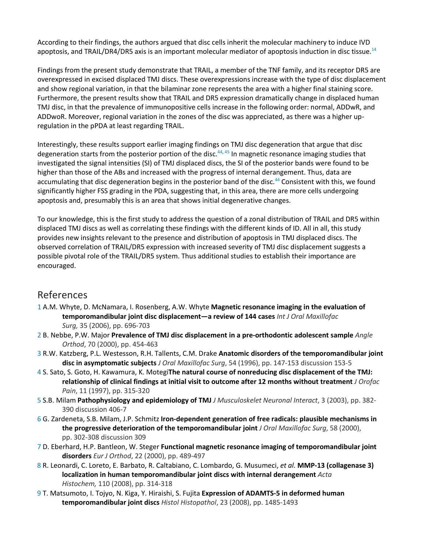According to their findings, the authors argued that disc cells inherit the molecular machinery to induce IVD apoptosis, and TRAIL/DR4/DR5 axis is an important molecular mediator of apoptosis induction in disc tissu[e.14](https://www.sciencedirect.com/science/article/pii/S1079210409007458?via%3Dihub#bib14)

Findings from the present study demonstrate that TRAIL, a member of the TNF family, and its receptor DR5 are overexpressed in excised displaced TMJ discs. These overexpressions increase with the type of disc displacement and show regional variation, in that the bilaminar zone represents the area with a higher final staining score. Furthermore, the present results show that TRAIL and DR5 expression dramatically change in displaced human TMJ disc, in that the prevalence of immunopositive cells increase in the following order: normal, ADDwR, and ADDwoR. Moreover, regional variation in the zones of the disc was appreciated, as there was a higher upregulation in the pPDA at least regarding TRAIL.

Interestingly, these results support earlier imaging findings on TMJ disc degeneration that argue that disc degeneration starts from the posterior portion of the disc.<sup>44, [45](https://www.sciencedirect.com/science/article/pii/S1079210409007458?via%3Dihub#bib45)</sup> In magnetic resonance imaging studies that investigated the signal intensities (SI) of TMJ displaced discs, the SI of the posterior bands were found to be higher than those of the ABs and increased with the progress of internal derangement. Thus, data are accumulating that disc degeneration begins in the posterior band of the disc.<sup>44</sup> Consistent with this, we found significantly higher FSS grading in the PDA, suggesting that, in this area, there are more cells undergoing apoptosis and, presumably this is an area that shows initial degenerative changes.

To our knowledge, this is the first study to address the question of a zonal distribution of TRAIL and DR5 within displaced TMJ discs as well as correlating these findings with the different kinds of ID. All in all, this study provides new insights relevant to the presence and distribution of apoptosis in TMJ displaced discs. The observed correlation of TRAIL/DR5 expression with increased severity of TMJ disc displacement suggests a possible pivotal role of the TRAIL/DR5 system. Thus additional studies to establish their importance are encouraged.

## References

- [1](https://www.sciencedirect.com/science/article/pii/S1079210409007458?via%3Dihub#bbib1) A.M. Whyte, D. McNamara, I. Rosenberg, A.W. Whyte **Magnetic resonance imaging in the evaluation of temporomandibular joint disc displacement—a review of 144 cases** *Int J Oral Maxillofac Surg,* 35 (2006), pp. 696-703
- [2](https://www.sciencedirect.com/science/article/pii/S1079210409007458?via%3Dihub#bbib2) B. Nebbe, P.W. Major **Prevalence of TMJ disc displacement in a pre-orthodontic adolescent sample** *Angle Orthod*, 70 (2000), pp. 454-463
- [3](https://www.sciencedirect.com/science/article/pii/S1079210409007458?via%3Dihub#bbib3) R.W. Katzberg, P.L. Westesson, R.H. Tallents, C.M. Drake **Anatomic disorders of the temporomandibular joint disc in asymptomatic subjects** *J Oral Maxillofac Surg*, 54 (1996), pp. 147-153 discussion 153-5
- [4](https://www.sciencedirect.com/science/article/pii/S1079210409007458?via%3Dihub#bbib4) S. Sato, S. Goto, H. Kawamura, K. Motegi**The natural course of nonreducing disc displacement of the TMJ: relationship of clinical findings at initial visit to outcome after 12 months without treatment** *J Orofac Pain*, 11 (1997), pp. 315-320
- [5](https://www.sciencedirect.com/science/article/pii/S1079210409007458?via%3Dihub#bbib5) S.B. Milam **Pathophysiology and epidemiology of TMJ** *J Musculoskelet Neuronal Interact*, 3 (2003), pp. 382- 390 discussion 406-7
- [6](https://www.sciencedirect.com/science/article/pii/S1079210409007458?via%3Dihub#bbib6) G. Zardeneta, S.B. Milam, J.P. Schmitz **Iron-dependent generation of free radicals: plausible mechanisms in the progressive deterioration of the temporomandibular joint** *J Oral Maxillofac Surg*, 58 (2000), pp. 302-308 discussion 309
- [7](https://www.sciencedirect.com/science/article/pii/S1079210409007458?via%3Dihub#bbib7) D. Eberhard, H.P. Bantleon, W. Steger **Functional magnetic resonance imaging of temporomandibular joint disorders** *Eur J Orthod*, 22 (2000), pp. 489-497
- [8](https://www.sciencedirect.com/science/article/pii/S1079210409007458?via%3Dihub#bbib8) R. Leonardi, C. Loreto, E. Barbato, R. Caltabiano, C. Lombardo, G. Musumeci, *et al.* **MMP-13 (collagenase 3) localization in human temporomandibular joint discs with internal derangement** *Acta Histochem,* 110 (2008), pp. 314-318
- [9](https://www.sciencedirect.com/science/article/pii/S1079210409007458?via%3Dihub#bbib9) T. Matsumoto, I. Tojyo, N. Kiga, Y. Hiraishi, S. Fujita **Expression of ADAMTS-5 in deformed human temporomandibular joint discs** *Histol Histopathol*, 23 (2008), pp. 1485-1493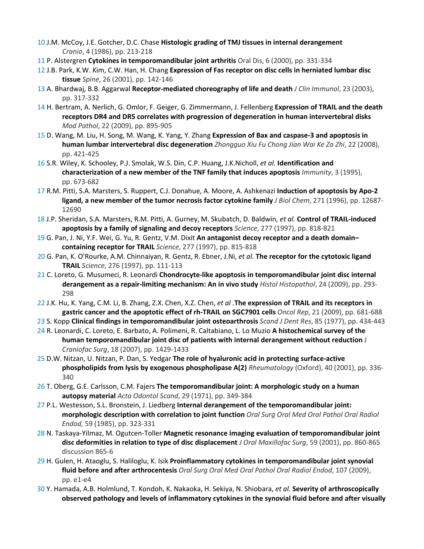- [10](https://www.sciencedirect.com/science/article/pii/S1079210409007458?via%3Dihub#bbib10) J.M. McCoy, J.E. Gotcher, D.C. Chase **Histologic grading of TMJ tissues in internal derangement** *Cranio*, 4 (1986), pp. 213-218
- [11](https://www.sciencedirect.com/science/article/pii/S1079210409007458?via%3Dihub#bbib11) P. Alstergren **Cytokines in temporomandibular joint arthritis** Oral Dis, 6 (2000), pp. 331-334
- [12](https://www.sciencedirect.com/science/article/pii/S1079210409007458?via%3Dihub#bbib12) J.B. Park, K.W. Kim, C.W. Han, H. Chang **Expression of Fas receptor on disc cells in herniated lumbar disc tissue** *Spine*, 26 (2001), pp. 142-146
- [13](https://www.sciencedirect.com/science/article/pii/S1079210409007458?via%3Dihub#bbib13) A. Bhardwaj, B.B. Aggarwal **Receptor-mediated choreography of life and death** *J Clin Immunol*, 23 (2003), pp. 317-332
- [14](https://www.sciencedirect.com/science/article/pii/S1079210409007458?via%3Dihub#bbib14) H. Bertram, A. Nerlich, G. Omlor, F. Geiger, G. Zimmermann, J. Fellenberg **Expression of TRAIL and the death receptors DR4 and DR5 correlates with progression of degeneration in human intervertebral disks** *Mod Pathol*, 22 (2009), pp. 895-905
- [15](https://www.sciencedirect.com/science/article/pii/S1079210409007458?via%3Dihub#bbib15) D. Wang, M. Liu, H. Song, M. Wang, K. Yang, Y. Zhang **Expression of Bax and caspase-3 and apoptosis in human lumbar intervertebral disc degeneration** *Zhongguo Xiu Fu Chong Jian Wai Ke Za Zhi*, 22 (2008), pp. 421-425
- [16](https://www.sciencedirect.com/science/article/pii/S1079210409007458?via%3Dihub#bbib16) S.R. Wiley, K. Schooley, P.J. Smolak, W.S. Din, C.P. Huang, J.K.Nicholl, *et al.* **Identification and characterization of a new member of the TNF family that induces apoptosis** *Immunity*, 3 (1995), pp. 673-682
- [17](https://www.sciencedirect.com/science/article/pii/S1079210409007458?via%3Dihub#bbib17) R.M. Pitti, S.A. Marsters, S. Ruppert, C.J. Donahue, A. Moore, A. Ashkenazi **Induction of apoptosis by Apo-2 ligand, a new member of the tumor necrosis factor cytokine family** *J Biol Chem*, 271 (1996), pp. 12687- 12690
- [18](https://www.sciencedirect.com/science/article/pii/S1079210409007458?via%3Dihub#bbib18) J.P. Sheridan, S.A. Marsters, R.M. Pitti, A. Gurney, M. Skubatch, D. Baldwin, *et al.* **Control of TRAIL-induced apoptosis by a family of signaling and decoy receptors** *Science*, 277 (1997), pp. 818-821
- [19](https://www.sciencedirect.com/science/article/pii/S1079210409007458?via%3Dihub#bbib19) G. Pan, J. Ni, Y.F. Wei, G. Yu, R. Gentz, V.M. Dixit **An antagonist decoy receptor and a death domain– containing receptor for TRAIL** *Science*, 277 (1997), pp. 815-818
- [20](https://www.sciencedirect.com/science/article/pii/S1079210409007458?via%3Dihub#bbib20) G. Pan, K. O'Rourke, A.M. Chinnaiyan, R. Gentz, R. Ebner, J.Ni, *et al.* **The receptor for the cytotoxic ligand TRAIL** *Science*, 276 (1997), pp. 111-113
- [21](https://www.sciencedirect.com/science/article/pii/S1079210409007458?via%3Dihub#bbib21) C. Loreto, G. Musumeci, R. Leonardi **Chondrocyte-like apoptosis in temporomandibular joint disc internal derangement as a repair-limiting mechanism: An in vivo study** *Histol Histopathol*, 24 (2009), pp. 293- 298
- [22](https://www.sciencedirect.com/science/article/pii/S1079210409007458?via%3Dihub#bbib22) J.K. Hu, K. Yang, C.M. Li, B. Zhang, Z.X. Chen, X.Z. Chen, *et al .***The expression of TRAIL and its receptors in gastric cancer and the apoptotic effect of rh-TRAIL on SGC7901 cells** *Oncol Rep*, 21 (2009), pp. 681-688
- [23](https://www.sciencedirect.com/science/article/pii/S1079210409007458?via%3Dihub#bbib23) S. Kopp **Clinical findings in temporomandibular joint osteoarthrosis** *Scand J Dent Res*, 85 (1977), pp. 434-443
- [24](https://www.sciencedirect.com/science/article/pii/S1079210409007458?via%3Dihub#bbib24) R. Leonardi, C. Loreto, E. Barbato, A. Polimeni, R. Caltabiano, L. Lo Muzio **A histochemical survey of the human temporomandibular joint disc of patients with internal derangement without reduction** J *Craniofac Surg*, 18 (2007), pp. 1429-1433
- [25](https://www.sciencedirect.com/science/article/pii/S1079210409007458?via%3Dihub#bbib25) D.W. Nitzan, U. Nitzan, P. Dan, S. Yedgar **The role of hyaluronic acid in protecting surface-active phospholipids from lysis by exogenous phospholipase A(2)** *Rheumatology* (Oxford), 40 (2001), pp. 336- 340
- [26](https://www.sciencedirect.com/science/article/pii/S1079210409007458?via%3Dihub#bbib26) T. Oberg, G.E. Carlsson, C.M. Fajers **The temporomandibular joint: A morphologic study on a human autopsy material** *Acta Odontol Scand*, 29 (1971), pp. 349-384
- [27](https://www.sciencedirect.com/science/article/pii/S1079210409007458?via%3Dihub#bbib27) P.L. Westesson, S.L. Bronstein, J. Liedberg **Internal derangement of the temporomandibular joint: morphologic description with correlation to joint function** *Oral Surg Oral Med Oral Pathol Oral Radiol Endod,* 59 (1985), pp. 323-331
- [28](https://www.sciencedirect.com/science/article/pii/S1079210409007458?via%3Dihub#bbib28) N. Taskaya-Yilmaz, M. Ogutcen-Toller **Magnetic resonance imaging evaluation of temporomandibular joint disc deformities in relation to type of disc displacement** *J Oral Maxillofac Surg*, 59 (2001), pp. 860-865 discussion 865-6
- [29](https://www.sciencedirect.com/science/article/pii/S1079210409007458?via%3Dihub#bbib29) H. Gulen, H. Ataoglu, S. Haliloglu, K. Isik **Proinflammatory cytokines in temporomandibular joint synovial fluid before and after arthrocentesis** *Oral Surg Oral Med Oral Pathol Oral Radiol Endod*, 107 (2009), pp. e1-e4
- [30](https://www.sciencedirect.com/science/article/pii/S1079210409007458?via%3Dihub#bbib30) Y. Hamada, A.B. Holmlund, T. Kondoh, K. Nakaoka, H. Sekiya, N. Shiobara, *et al.* **Severity of arthroscopically observed pathology and levels of inflammatory cytokines in the synovial fluid before and after visually**